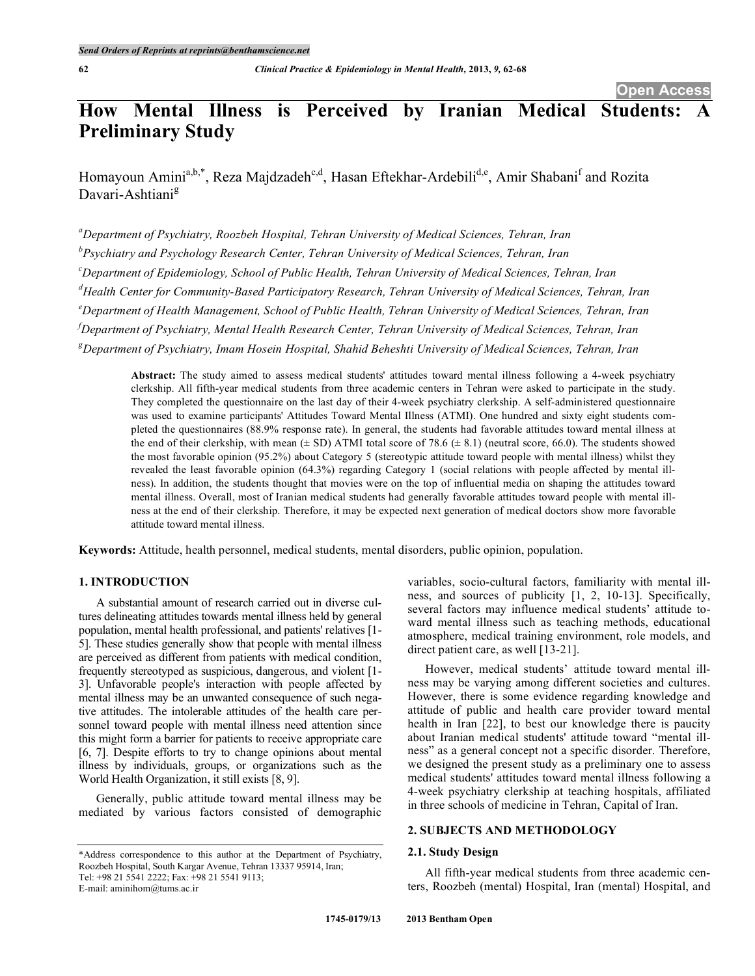# **How Mental Illness is Perceived by Iranian Medical Students: Preliminary Study**

Homayoun Amini<sup>a,b,\*</sup>, Reza Majdzadeh<sup>c,d</sup>, Hasan Eftekhar-Ardebili<sup>d,e</sup>, Amir Shabani<sup>f</sup> and Rozita Davari-Ashtiani<sup>g</sup>

*a Department of Psychiatry, Roozbeh Hospital, Tehran University of Medical Sciences, Tehran, Iran b Psychiatry and Psychology Research Center, Tehran University of Medical Sciences, Tehran, Iran c Department of Epidemiology, School of Public Health, Tehran University of Medical Sciences, Tehran, Iran d Health Center for Community-Based Participatory Research, Tehran University of Medical Sciences, Tehran, Iran e Department of Health Management, School of Public Health, Tehran University of Medical Sciences, Tehran, Iran f Department of Psychiatry, Mental Health Research Center, Tehran University of Medical Sciences, Tehran, Iran g Department of Psychiatry, Imam Hosein Hospital, Shahid Beheshti University of Medical Sciences, Tehran, Iran*

**Abstract:** The study aimed to assess medical students' attitudes toward mental illness following a 4-week psychiatry clerkship. All fifth-year medical students from three academic centers in Tehran were asked to participate in the study. They completed the questionnaire on the last day of their 4-week psychiatry clerkship. A self-administered questionnaire was used to examine participants' Attitudes Toward Mental Illness (ATMI). One hundred and sixty eight students completed the questionnaires (88.9% response rate). In general, the students had favorable attitudes toward mental illness at the end of their clerkship, with mean  $(\pm SD)$  ATMI total score of 78.6  $(\pm 8.1)$  (neutral score, 66.0). The students showed the most favorable opinion (95.2%) about Category 5 (stereotypic attitude toward people with mental illness) whilst they revealed the least favorable opinion (64.3%) regarding Category 1 (social relations with people affected by mental illness). In addition, the students thought that movies were on the top of influential media on shaping the attitudes toward mental illness. Overall, most of Iranian medical students had generally favorable attitudes toward people with mental illness at the end of their clerkship. Therefore, it may be expected next generation of medical doctors show more favorable attitude toward mental illness.

**Keywords:** Attitude, health personnel, medical students, mental disorders, public opinion, population.

# **1. INTRODUCTION**

A substantial amount of research carried out in diverse cultures delineating attitudes towards mental illness held by general population, mental health professional, and patients' relatives [1- 5]. These studies generally show that people with mental illness are perceived as different from patients with medical condition, frequently stereotyped as suspicious, dangerous, and violent [1- 3]. Unfavorable people's interaction with people affected by mental illness may be an unwanted consequence of such negative attitudes. The intolerable attitudes of the health care personnel toward people with mental illness need attention since this might form a barrier for patients to receive appropriate care [6, 7]. Despite efforts to try to change opinions about mental illness by individuals, groups, or organizations such as the World Health Organization, it still exists [8, 9].

Generally, public attitude toward mental illness may be mediated by various factors consisted of demographic variables, socio-cultural factors, familiarity with mental illness, and sources of publicity [1, 2, 10-13]. Specifically, several factors may influence medical students' attitude toward mental illness such as teaching methods, educational atmosphere, medical training environment, role models, and direct patient care, as well [13-21].

However, medical students' attitude toward mental illness may be varying among different societies and cultures. However, there is some evidence regarding knowledge and attitude of public and health care provider toward mental health in Iran [22], to best our knowledge there is paucity about Iranian medical students' attitude toward "mental illness" as a general concept not a specific disorder. Therefore, we designed the present study as a preliminary one to assess medical students' attitudes toward mental illness following a 4-week psychiatry clerkship at teaching hospitals, affiliated in three schools of medicine in Tehran, Capital of Iran.

# **2. SUBJECTS AND METHODOLOGY**

# **2.1. Study Design**

All fifth-year medical students from three academic centers, Roozbeh (mental) Hospital, Iran (mental) Hospital, and

<sup>\*</sup>Address correspondence to this author at the Department of Psychiatry, Roozbeh Hospital, South Kargar Avenue, Tehran 13337 95914, Iran; Tel: +98 21 5541 2222; Fax: +98 21 5541 9113; E-mail: aminihom@tums.ac.ir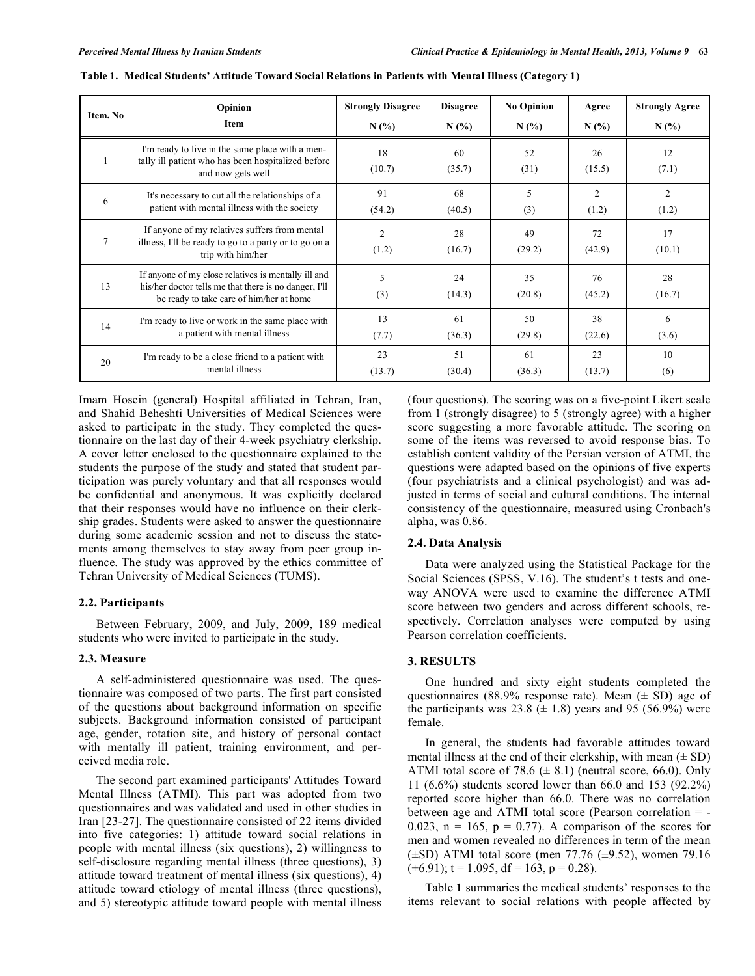| Item. No | Opinion                                                                                                                                                  | <b>Strongly Disagree</b> | <b>Disagree</b> | <b>No Opinion</b> | Agree                   | <b>Strongly Agree</b> |
|----------|----------------------------------------------------------------------------------------------------------------------------------------------------------|--------------------------|-----------------|-------------------|-------------------------|-----------------------|
|          | Item                                                                                                                                                     | N(%                      | N(%             | N(%)              | N(%                     | N(%                   |
|          | I'm ready to live in the same place with a men-<br>tally ill patient who has been hospitalized before<br>and now gets well                               | 18<br>(10.7)             | 60<br>(35.7)    | 52<br>(31)        | 26<br>(15.5)            | 12<br>(7.1)           |
| 6        | It's necessary to cut all the relationships of a<br>patient with mental illness with the society                                                         | 91<br>(54.2)             | 68<br>(40.5)    | 5<br>(3)          | $\overline{2}$<br>(1.2) | 2<br>(1.2)            |
| 7        | If anyone of my relatives suffers from mental<br>illness, I'll be ready to go to a party or to go on a<br>trip with him/her                              | 2<br>(1.2)               | 28<br>(16.7)    | 49<br>(29.2)      | 72<br>(42.9)            | 17<br>(10.1)          |
| 13       | If anyone of my close relatives is mentally ill and<br>his/her doctor tells me that there is no danger, I'll<br>be ready to take care of him/her at home | 5<br>(3)                 | 24<br>(14.3)    | 35<br>(20.8)      | 76<br>(45.2)            | 28<br>(16.7)          |
| 14       | I'm ready to live or work in the same place with<br>a patient with mental illness                                                                        | 13<br>(7.7)              | 61<br>(36.3)    | 50<br>(29.8)      | 38<br>(22.6)            | 6<br>(3.6)            |
| 20       | I'm ready to be a close friend to a patient with<br>mental illness                                                                                       | 23<br>(13.7)             | 51<br>(30.4)    | 61<br>(36.3)      | 23<br>(13.7)            | 10<br>(6)             |

|  | Table 1.  Medical Students' Attitude Toward Social Relations in Patients with Mental Illness (Category 1) |  |  |  |  |  |  |  |  |  |
|--|-----------------------------------------------------------------------------------------------------------|--|--|--|--|--|--|--|--|--|
|--|-----------------------------------------------------------------------------------------------------------|--|--|--|--|--|--|--|--|--|

Imam Hosein (general) Hospital affiliated in Tehran, Iran, and Shahid Beheshti Universities of Medical Sciences were asked to participate in the study. They completed the questionnaire on the last day of their 4-week psychiatry clerkship. A cover letter enclosed to the questionnaire explained to the students the purpose of the study and stated that student participation was purely voluntary and that all responses would be confidential and anonymous. It was explicitly declared that their responses would have no influence on their clerkship grades. Students were asked to answer the questionnaire during some academic session and not to discuss the statements among themselves to stay away from peer group influence. The study was approved by the ethics committee of Tehran University of Medical Sciences (TUMS).

#### **2.2. Participants**

Between February, 2009, and July, 2009, 189 medical students who were invited to participate in the study.

#### **2.3. Measure**

A self-administered questionnaire was used. The questionnaire was composed of two parts. The first part consisted of the questions about background information on specific subjects. Background information consisted of participant age, gender, rotation site, and history of personal contact with mentally ill patient, training environment, and perceived media role.

The second part examined participants' Attitudes Toward Mental Illness (ATMI). This part was adopted from two questionnaires and was validated and used in other studies in Iran [23-27]. The questionnaire consisted of 22 items divided into five categories: 1) attitude toward social relations in people with mental illness (six questions), 2) willingness to self-disclosure regarding mental illness (three questions), 3) attitude toward treatment of mental illness (six questions), 4) attitude toward etiology of mental illness (three questions), and 5) stereotypic attitude toward people with mental illness (four questions). The scoring was on a five-point Likert scale from 1 (strongly disagree) to 5 (strongly agree) with a higher score suggesting a more favorable attitude. The scoring on some of the items was reversed to avoid response bias. To establish content validity of the Persian version of ATMI, the questions were adapted based on the opinions of five experts (four psychiatrists and a clinical psychologist) and was adjusted in terms of social and cultural conditions. The internal consistency of the questionnaire, measured using Cronbach's alpha, was 0.86.

#### **2.4. Data Analysis**

Data were analyzed using the Statistical Package for the Social Sciences (SPSS, V.16). The student's t tests and oneway ANOVA were used to examine the difference ATMI score between two genders and across different schools, respectively. Correlation analyses were computed by using Pearson correlation coefficients.

## **3. RESULTS**

One hundred and sixty eight students completed the questionnaires (88.9% response rate). Mean  $(\pm SD)$  age of the participants was  $23.8 \ (\pm 1.8)$  years and 95 (56.9%) were female.

In general, the students had favorable attitudes toward mental illness at the end of their clerkship, with mean  $(\pm SD)$ ATMI total score of 78.6  $(\pm 8.1)$  (neutral score, 66.0). Only 11 (6.6%) students scored lower than 66.0 and 153 (92.2%) reported score higher than 66.0. There was no correlation between age and ATMI total score (Pearson correlation = - 0.023,  $n = 165$ ,  $p = 0.77$ ). A comparison of the scores for men and women revealed no differences in term of the mean  $(\pm SD)$  ATMI total score (men 77.76  $(\pm 9.52)$ , women 79.16  $(\pm 6.91)$ ; t = 1.095, df = 163, p = 0.28).

Table **1** summaries the medical students' responses to the items relevant to social relations with people affected by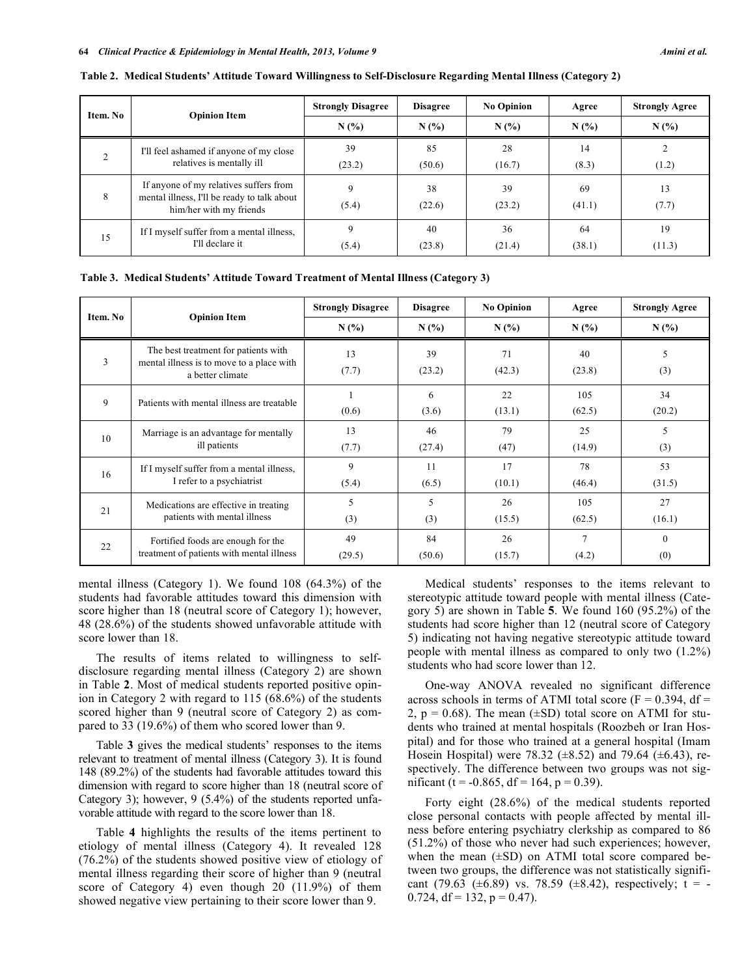| Item. No | <b>Opinion Item</b>                                                                                              | <b>Strongly Disagree</b> | <b>Disagree</b> | <b>No Opinion</b> | Agree        | <b>Strongly Agree</b> |
|----------|------------------------------------------------------------------------------------------------------------------|--------------------------|-----------------|-------------------|--------------|-----------------------|
|          |                                                                                                                  | N(%)                     | N(%)            | N(%               | N(%)         | N(%)                  |
|          | I'll feel ashamed if anyone of my close<br>relatives is mentally ill                                             | 39<br>(23.2)             | 85<br>(50.6)    | 28<br>(16.7)      | 14<br>(8.3)  | (1.2)                 |
| 8        | If anyone of my relatives suffers from<br>mental illness, I'll be ready to talk about<br>him/her with my friends | 9<br>(5.4)               | 38<br>(22.6)    | 39<br>(23.2)      | 69<br>(41.1) | 13<br>(7.7)           |
| 15       | If I myself suffer from a mental illness,<br>I'll declare it                                                     | 9<br>(5.4)               | 40<br>(23.8)    | 36<br>(21.4)      | 64<br>(38.1) | 19<br>(11.3)          |

**Table 2. Medical Students' Attitude Toward Willingness to Self-Disclosure Regarding Mental Illness (Category 2)**

**Table 3. Medical Students' Attitude Toward Treatment of Mental Illness (Category 3)**

| Item. No | <b>Opinion Item</b>                                                                                   | <b>Strongly Disagree</b> | <b>Disagree</b> | <b>No Opinion</b> | Agree         | <b>Strongly Agree</b> |
|----------|-------------------------------------------------------------------------------------------------------|--------------------------|-----------------|-------------------|---------------|-----------------------|
|          |                                                                                                       | N(%)                     | N(%)            | N(%)              | N(%)          | N(%)                  |
| 3        | The best treatment for patients with<br>mental illness is to move to a place with<br>a better climate | 13<br>(7.7)              | 39<br>(23.2)    | 71<br>(42.3)      | 40<br>(23.8)  | 5<br>(3)              |
| 9        | Patients with mental illness are treatable                                                            | (0.6)                    | 6<br>(3.6)      | 22<br>(13.1)      | 105<br>(62.5) | 34<br>(20.2)          |
| 10       | Marriage is an advantage for mentally                                                                 | 13                       | 46              | 79                | 25            | 5                     |
|          | ill patients                                                                                          | (7.7)                    | (27.4)          | (47)              | (14.9)        | (3)                   |
| 16       | If I myself suffer from a mental illness,                                                             | 9                        | 11              | 17                | 78            | 53                    |
|          | I refer to a psychiatrist                                                                             | (5.4)                    | (6.5)           | (10.1)            | (46.4)        | (31.5)                |
| 21       | Medications are effective in treating                                                                 | 5                        | 5               | 26                | 105           | 27                    |
|          | patients with mental illness                                                                          | (3)                      | (3)             | (15.5)            | (62.5)        | (16.1)                |
| 22       | Fortified foods are enough for the                                                                    | 49                       | 84              | 26                | $\mathcal{I}$ | $\theta$              |
|          | treatment of patients with mental illness                                                             | (29.5)                   | (50.6)          | (15.7)            | (4.2)         | (0)                   |

mental illness (Category 1). We found 108 (64.3%) of the students had favorable attitudes toward this dimension with score higher than 18 (neutral score of Category 1); however, 48 (28.6%) of the students showed unfavorable attitude with score lower than 18.

The results of items related to willingness to selfdisclosure regarding mental illness (Category 2) are shown in Table **2**. Most of medical students reported positive opinion in Category 2 with regard to 115 (68.6%) of the students scored higher than 9 (neutral score of Category 2) as compared to 33 (19.6%) of them who scored lower than 9.

Table **3** gives the medical students' responses to the items relevant to treatment of mental illness (Category 3). It is found 148 (89.2%) of the students had favorable attitudes toward this dimension with regard to score higher than 18 (neutral score of Category 3); however, 9 (5.4%) of the students reported unfavorable attitude with regard to the score lower than 18.

Table **4** highlights the results of the items pertinent to etiology of mental illness (Category 4). It revealed 128 (76.2%) of the students showed positive view of etiology of mental illness regarding their score of higher than 9 (neutral score of Category 4) even though 20 (11.9%) of them showed negative view pertaining to their score lower than 9.

Medical students' responses to the items relevant to stereotypic attitude toward people with mental illness (Category 5) are shown in Table **5**. We found 160 (95.2%) of the students had score higher than 12 (neutral score of Category 5) indicating not having negative stereotypic attitude toward people with mental illness as compared to only two (1.2%) students who had score lower than 12.

One-way ANOVA revealed no significant difference across schools in terms of ATMI total score ( $F = 0.394$ , df = 2,  $p = 0.68$ ). The mean ( $\pm$ SD) total score on ATMI for students who trained at mental hospitals (Roozbeh or Iran Hospital) and for those who trained at a general hospital (Imam Hosein Hospital) were 78.32 ( $\pm$ 8.52) and 79.64 ( $\pm$ 6.43), respectively. The difference between two groups was not significant (t =  $-0.865$ , df = 164, p = 0.39).

Forty eight (28.6%) of the medical students reported close personal contacts with people affected by mental illness before entering psychiatry clerkship as compared to 86 (51.2%) of those who never had such experiences; however, when the mean  $(\pm SD)$  on ATMI total score compared between two groups, the difference was not statistically significant (79.63 ( $\pm$ 6.89) vs. 78.59 ( $\pm$ 8.42), respectively; t = -0.724,  $df = 132$ ,  $p = 0.47$ ).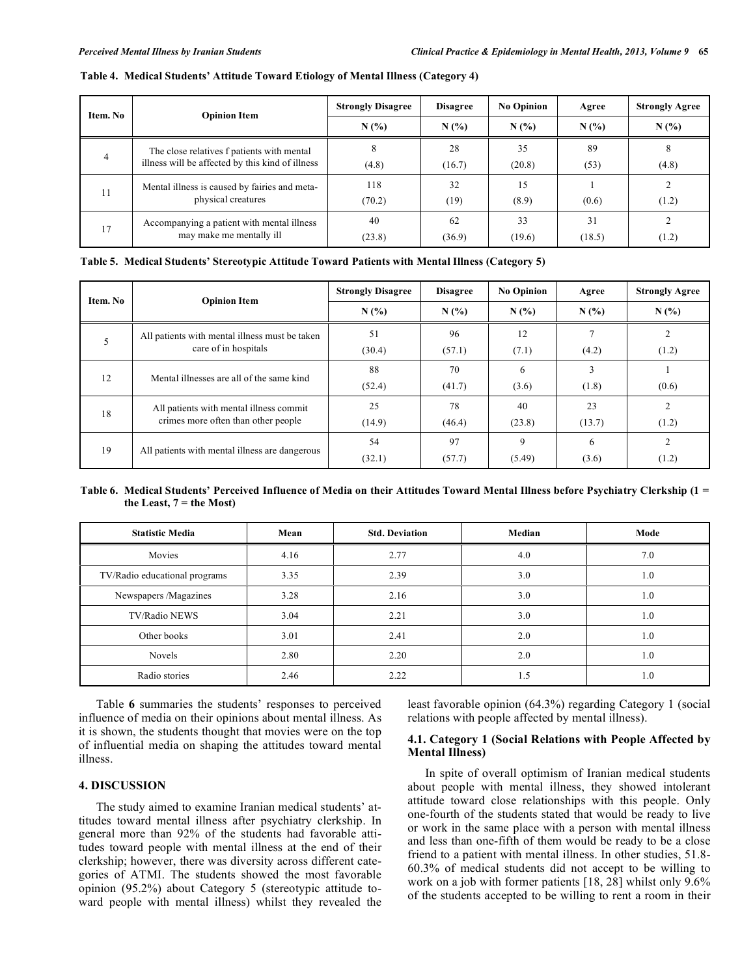| Item. No                                                                                            | <b>Opinion Item</b>                                                    | <b>Strongly Disagree</b> | <b>Disagree</b> | <b>No Opinion</b> | Agree  | <b>Strongly Agree</b> |
|-----------------------------------------------------------------------------------------------------|------------------------------------------------------------------------|--------------------------|-----------------|-------------------|--------|-----------------------|
|                                                                                                     |                                                                        | N(%)                     | N(%)            | N(%               | N(%    | N(%)                  |
| The close relatives f patients with mental<br>4<br>illness will be affected by this kind of illness |                                                                        | 28                       | 35              | 89                | 8      |                       |
|                                                                                                     |                                                                        | (4.8)                    | (16.7)          | (20.8)            | (53)   | (4.8)                 |
| 11                                                                                                  | Mental illness is caused by fairies and meta-                          | 118                      | 32              | 15                |        |                       |
|                                                                                                     | physical creatures                                                     | (70.2)                   | (19)            | (8.9)             | (0.6)  | (1.2)                 |
| 17                                                                                                  | Accompanying a patient with mental illness<br>may make me mentally ill | 40                       | 62              | 33                | 31     |                       |
|                                                                                                     |                                                                        | (23.8)                   | (36.9)          | (19.6)            | (18.5) | (1.2)                 |

**Table 4. Medical Students' Attitude Toward Etiology of Mental Illness (Category 4)**

**Table 5. Medical Students' Stereotypic Attitude Toward Patients with Mental Illness (Category 5)**

| Item. No | <b>Opinion Item</b>                            | <b>Strongly Disagree</b> | <b>Disagree</b> | <b>No Opinion</b> | Agree  | <b>Strongly Agree</b> |
|----------|------------------------------------------------|--------------------------|-----------------|-------------------|--------|-----------------------|
|          |                                                | N(%)                     | N(%             | N(%               | N(%)   | N(%                   |
|          | All patients with mental illness must be taken | 51                       | 96              | 12                |        |                       |
|          | care of in hospitals                           | (30.4)                   | (57.1)          | (7.1)             | (4.2)  | (1.2)                 |
| 12       | Mental illnesses are all of the same kind      | 88                       | 70              | 6                 |        |                       |
|          |                                                | (52.4)                   | (41.7)          | (3.6)             | (1.8)  | (0.6)                 |
|          | All patients with mental illness commit        | 25                       | 78              | 40                | 23     | $\mathfrak{D}$        |
| 18       | crimes more often than other people            | (14.9)                   | (46.4)          | (23.8)            | (13.7) | (1.2)                 |
| 19       | All patients with mental illness are dangerous | 54                       | 97              | 9                 | 6      | 2                     |
|          |                                                | (32.1)                   | (57.7)          | (5.49)            | (3.6)  | (1.2)                 |

### Table 6. Medical Students' Perceived Influence of Media on their Attitudes Toward Mental Illness before Psychiatry Clerkship (1 =  $t$ **he** Least,  $7 = t$ **he** Most)

| <b>Statistic Media</b>        | Mean | <b>Std. Deviation</b> | Median | Mode |
|-------------------------------|------|-----------------------|--------|------|
| Movies                        | 4.16 | 2.77                  | 4.0    | 7.0  |
| TV/Radio educational programs | 3.35 | 2.39                  | 3.0    | 1.0  |
| Newspapers /Magazines         | 3.28 | 2.16                  | 3.0    | 1.0  |
| TV/Radio NEWS                 | 3.04 | 2.21                  | 3.0    | 1.0  |
| Other books                   | 3.01 | 2.41                  | 2.0    | 1.0  |
| Novels                        | 2.80 | 2.20                  | 2.0    | 1.0  |
| Radio stories                 | 2.46 | 2.22                  | 1.5    | 1.0  |

Table **6** summaries the students' responses to perceived influence of media on their opinions about mental illness. As it is shown, the students thought that movies were on the top of influential media on shaping the attitudes toward mental illness.

# **4. DISCUSSION**

The study aimed to examine Iranian medical students' attitudes toward mental illness after psychiatry clerkship. In general more than 92% of the students had favorable attitudes toward people with mental illness at the end of their clerkship; however, there was diversity across different categories of ATMI. The students showed the most favorable opinion (95.2%) about Category 5 (stereotypic attitude toward people with mental illness) whilst they revealed the least favorable opinion (64.3%) regarding Category 1 (social relations with people affected by mental illness).

# **4.1. Category 1 (Social Relations with People Affected by Mental Illness)**

In spite of overall optimism of Iranian medical students about people with mental illness, they showed intolerant attitude toward close relationships with this people. Only one-fourth of the students stated that would be ready to live or work in the same place with a person with mental illness and less than one-fifth of them would be ready to be a close friend to a patient with mental illness. In other studies, 51.8- 60.3% of medical students did not accept to be willing to work on a job with former patients [18, 28] whilst only 9.6% of the students accepted to be willing to rent a room in their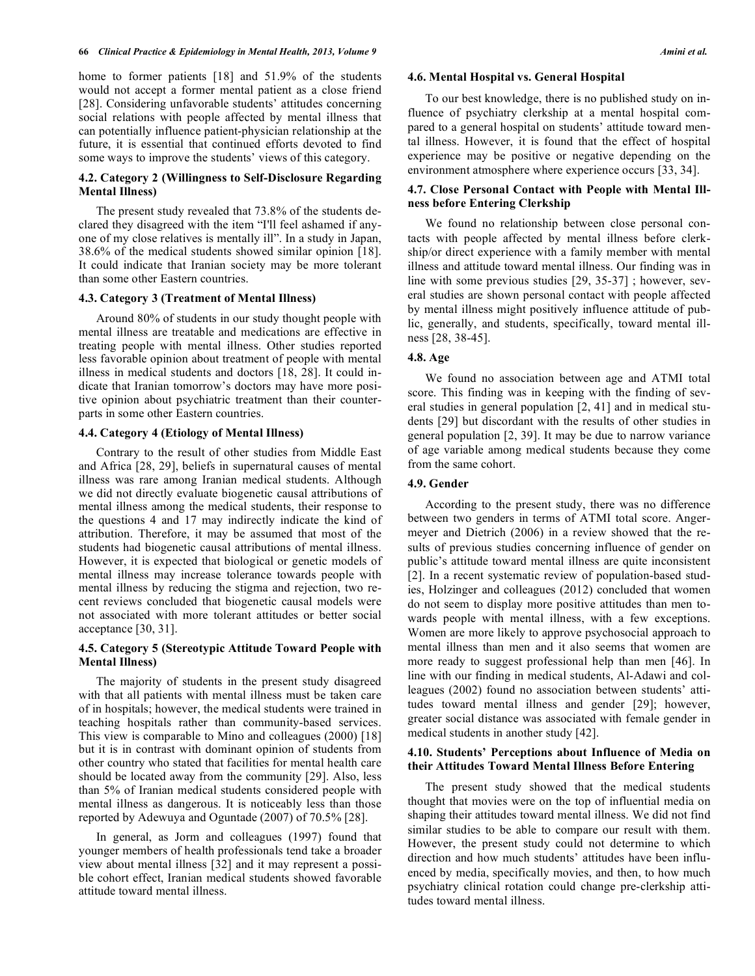home to former patients [18] and 51.9% of the students would not accept a former mental patient as a close friend [28]. Considering unfavorable students' attitudes concerning social relations with people affected by mental illness that can potentially influence patient-physician relationship at the future, it is essential that continued efforts devoted to find some ways to improve the students' views of this category.

#### **4.2. Category 2 (Willingness to Self-Disclosure Regarding Mental Illness)**

The present study revealed that 73.8% of the students declared they disagreed with the item "I'll feel ashamed if anyone of my close relatives is mentally ill". In a study in Japan, 38.6% of the medical students showed similar opinion [18]. It could indicate that Iranian society may be more tolerant than some other Eastern countries.

#### **4.3. Category 3 (Treatment of Mental Illness)**

Around 80% of students in our study thought people with mental illness are treatable and medications are effective in treating people with mental illness. Other studies reported less favorable opinion about treatment of people with mental illness in medical students and doctors [18, 28]. It could indicate that Iranian tomorrow's doctors may have more positive opinion about psychiatric treatment than their counterparts in some other Eastern countries.

### **4.4. Category 4 (Etiology of Mental Illness)**

Contrary to the result of other studies from Middle East and Africa [28, 29], beliefs in supernatural causes of mental illness was rare among Iranian medical students. Although we did not directly evaluate biogenetic causal attributions of mental illness among the medical students, their response to the questions 4 and 17 may indirectly indicate the kind of attribution. Therefore, it may be assumed that most of the students had biogenetic causal attributions of mental illness. However, it is expected that biological or genetic models of mental illness may increase tolerance towards people with mental illness by reducing the stigma and rejection, two recent reviews concluded that biogenetic causal models were not associated with more tolerant attitudes or better social acceptance [30, 31].

## **4.5. Category 5 (Stereotypic Attitude Toward People with Mental Illness)**

The majority of students in the present study disagreed with that all patients with mental illness must be taken care of in hospitals; however, the medical students were trained in teaching hospitals rather than community-based services. This view is comparable to Mino and colleagues (2000) [18] but it is in contrast with dominant opinion of students from other country who stated that facilities for mental health care should be located away from the community [29]. Also, less than 5% of Iranian medical students considered people with mental illness as dangerous. It is noticeably less than those reported by Adewuya and Oguntade (2007) of 70.5% [28].

In general, as Jorm and colleagues (1997) found that younger members of health professionals tend take a broader view about mental illness [32] and it may represent a possible cohort effect, Iranian medical students showed favorable attitude toward mental illness.

#### **4.6. Mental Hospital vs. General Hospital**

To our best knowledge, there is no published study on influence of psychiatry clerkship at a mental hospital compared to a general hospital on students' attitude toward mental illness. However, it is found that the effect of hospital experience may be positive or negative depending on the environment atmosphere where experience occurs [33, 34].

# **4.7. Close Personal Contact with People with Mental Illness before Entering Clerkship**

We found no relationship between close personal contacts with people affected by mental illness before clerkship/or direct experience with a family member with mental illness and attitude toward mental illness. Our finding was in line with some previous studies [29, 35-37] ; however, several studies are shown personal contact with people affected by mental illness might positively influence attitude of public, generally, and students, specifically, toward mental illness [28, 38-45].

## **4.8. Age**

We found no association between age and ATMI total score. This finding was in keeping with the finding of several studies in general population [2, 41] and in medical students [29] but discordant with the results of other studies in general population [2, 39]. It may be due to narrow variance of age variable among medical students because they come from the same cohort.

#### **4.9. Gender**

According to the present study, there was no difference between two genders in terms of ATMI total score. Angermeyer and Dietrich (2006) in a review showed that the results of previous studies concerning influence of gender on public's attitude toward mental illness are quite inconsistent [2]. In a recent systematic review of population-based studies, Holzinger and colleagues (2012) concluded that women do not seem to display more positive attitudes than men towards people with mental illness, with a few exceptions. Women are more likely to approve psychosocial approach to mental illness than men and it also seems that women are more ready to suggest professional help than men [46]. In line with our finding in medical students, Al-Adawi and colleagues (2002) found no association between students' attitudes toward mental illness and gender [29]; however, greater social distance was associated with female gender in medical students in another study [42].

## **4.10. Students' Perceptions about Influence of Media on their Attitudes Toward Mental Illness Before Entering**

The present study showed that the medical students thought that movies were on the top of influential media on shaping their attitudes toward mental illness. We did not find similar studies to be able to compare our result with them. However, the present study could not determine to which direction and how much students' attitudes have been influenced by media, specifically movies, and then, to how much psychiatry clinical rotation could change pre-clerkship attitudes toward mental illness.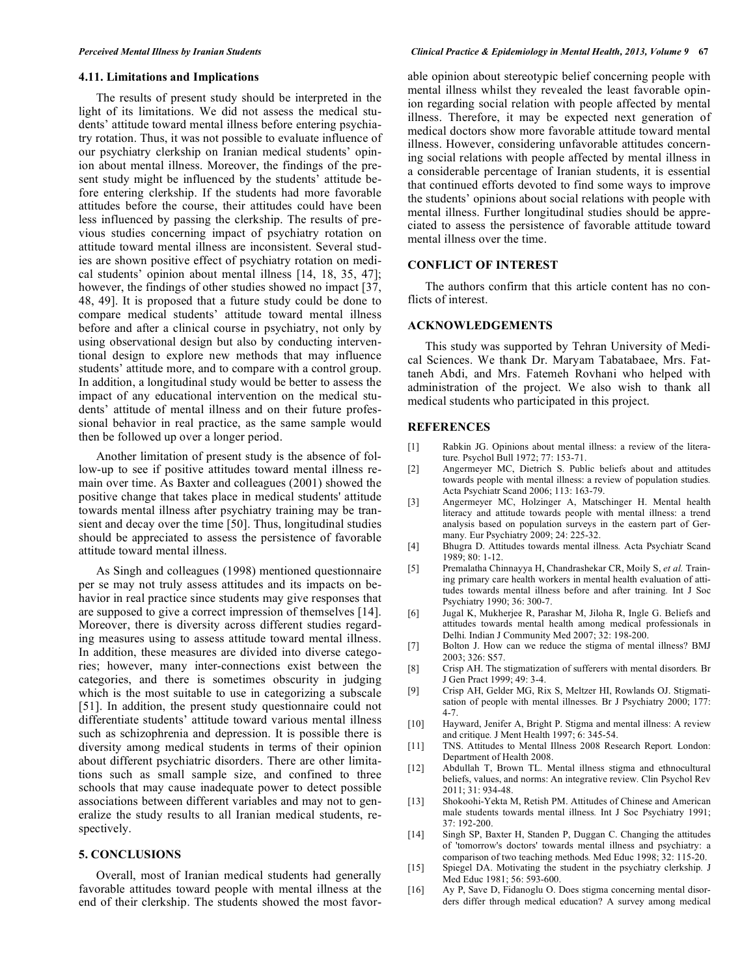#### **4.11. Limitations and Implications**

The results of present study should be interpreted in the light of its limitations. We did not assess the medical students' attitude toward mental illness before entering psychiatry rotation. Thus, it was not possible to evaluate influence of our psychiatry clerkship on Iranian medical students' opinion about mental illness. Moreover, the findings of the present study might be influenced by the students' attitude before entering clerkship. If the students had more favorable attitudes before the course, their attitudes could have been less influenced by passing the clerkship. The results of previous studies concerning impact of psychiatry rotation on attitude toward mental illness are inconsistent. Several studies are shown positive effect of psychiatry rotation on medical students' opinion about mental illness [14, 18, 35, 47]; however, the findings of other studies showed no impact [37, 48, 49]. It is proposed that a future study could be done to compare medical students' attitude toward mental illness before and after a clinical course in psychiatry, not only by using observational design but also by conducting interventional design to explore new methods that may influence students' attitude more, and to compare with a control group. In addition, a longitudinal study would be better to assess the impact of any educational intervention on the medical students' attitude of mental illness and on their future professional behavior in real practice, as the same sample would then be followed up over a longer period.

Another limitation of present study is the absence of follow-up to see if positive attitudes toward mental illness remain over time. As Baxter and colleagues (2001) showed the positive change that takes place in medical students' attitude towards mental illness after psychiatry training may be transient and decay over the time [50]. Thus, longitudinal studies should be appreciated to assess the persistence of favorable attitude toward mental illness.

As Singh and colleagues (1998) mentioned questionnaire per se may not truly assess attitudes and its impacts on behavior in real practice since students may give responses that are supposed to give a correct impression of themselves [14]. Moreover, there is diversity across different studies regarding measures using to assess attitude toward mental illness. In addition, these measures are divided into diverse categories; however, many inter-connections exist between the categories, and there is sometimes obscurity in judging which is the most suitable to use in categorizing a subscale [51]. In addition, the present study questionnaire could not differentiate students' attitude toward various mental illness such as schizophrenia and depression. It is possible there is diversity among medical students in terms of their opinion about different psychiatric disorders. There are other limitations such as small sample size, and confined to three schools that may cause inadequate power to detect possible associations between different variables and may not to generalize the study results to all Iranian medical students, respectively.

# **5. CONCLUSIONS**

Overall, most of Iranian medical students had generally favorable attitudes toward people with mental illness at the end of their clerkship. The students showed the most favorable opinion about stereotypic belief concerning people with mental illness whilst they revealed the least favorable opinion regarding social relation with people affected by mental illness. Therefore, it may be expected next generation of medical doctors show more favorable attitude toward mental illness. However, considering unfavorable attitudes concerning social relations with people affected by mental illness in a considerable percentage of Iranian students, it is essential that continued efforts devoted to find some ways to improve the students' opinions about social relations with people with mental illness. Further longitudinal studies should be appreciated to assess the persistence of favorable attitude toward mental illness over the time.

# **CONFLICT OF INTEREST**

The authors confirm that this article content has no conflicts of interest.

### **ACKNOWLEDGEMENTS**

This study was supported by Tehran University of Medical Sciences. We thank Dr. Maryam Tabatabaee, Mrs. Fattaneh Abdi, and Mrs. Fatemeh Rovhani who helped with administration of the project. We also wish to thank all medical students who participated in this project.

# **REFERENCES**

- [1] Rabkin JG. Opinions about mental illness: a review of the literature*.* Psychol Bull 1972; 77: 153-71.
- [2] Angermeyer MC, Dietrich S. Public beliefs about and attitudes towards people with mental illness: a review of population studies*.* Acta Psychiatr Scand 2006; 113: 163-79.
- [3] Angermeyer MC, Holzinger A, Matschinger H. Mental health literacy and attitude towards people with mental illness: a trend analysis based on population surveys in the eastern part of Germany*.* Eur Psychiatry 2009; 24: 225-32.
- [4] Bhugra D. Attitudes towards mental illness*.* Acta Psychiatr Scand 1989; 80: 1-12.
- [5] Premalatha Chinnayya H, Chandrashekar CR, Moily S, *et al.* Training primary care health workers in mental health evaluation of attitudes towards mental illness before and after training*.* Int J Soc Psychiatry 1990; 36: 300-7.
- [6] Jugal K, Mukherjee R, Parashar M, Jiloha R, Ingle G. Beliefs and attitudes towards mental health among medical professionals in Delhi*.* Indian J Community Med 2007; 32: 198-200.
- [7] Bolton J. How can we reduce the stigma of mental illness? BMJ 2003; 326: S57.
- [8] Crisp AH. The stigmatization of sufferers with mental disorders*.* Br J Gen Pract 1999; 49: 3-4.
- [9] Crisp AH, Gelder MG, Rix S, Meltzer HI, Rowlands OJ. Stigmatisation of people with mental illnesses*.* Br J Psychiatry 2000; 177: 4-7.
- [10] Hayward, Jenifer A, Bright P. Stigma and mental illness: A review and critique*.* J Ment Health 1997; 6: 345-54.
- [11] TNS. Attitudes to Mental Illness 2008 Research Report*.* London: Department of Health 2008.
- [12] Abdullah T, Brown TL. Mental illness stigma and ethnocultural beliefs, values, and norms: An integrative review*.* Clin Psychol Rev 2011; 31: 934-48.
- [13] Shokoohi-Yekta M, Retish PM. Attitudes of Chinese and American male students towards mental illness*.* Int J Soc Psychiatry 1991; 37: 192-200.
- [14] Singh SP, Baxter H, Standen P, Duggan C. Changing the attitudes of 'tomorrow's doctors' towards mental illness and psychiatry: a comparison of two teaching methods*.* Med Educ 1998; 32: 115-20.
- [15] Spiegel DA. Motivating the student in the psychiatry clerkship*.* J Med Educ 1981; 56: 593-600.
- [16] Ay P, Save D, Fidanoglu O. Does stigma concerning mental disorders differ through medical education? A survey among medical